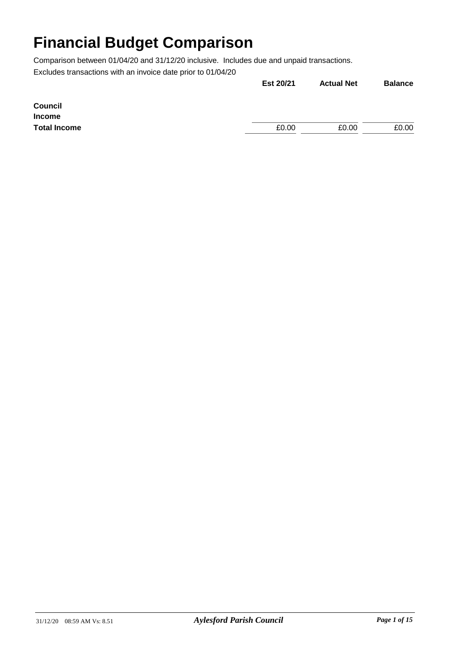|                     | Est 20/21 | <b>Actual Net</b> | <b>Balance</b> |
|---------------------|-----------|-------------------|----------------|
| <b>Council</b>      |           |                   |                |
| <b>Income</b>       |           |                   |                |
| <b>Total Income</b> | £0.00     | £0.00             | £0.00          |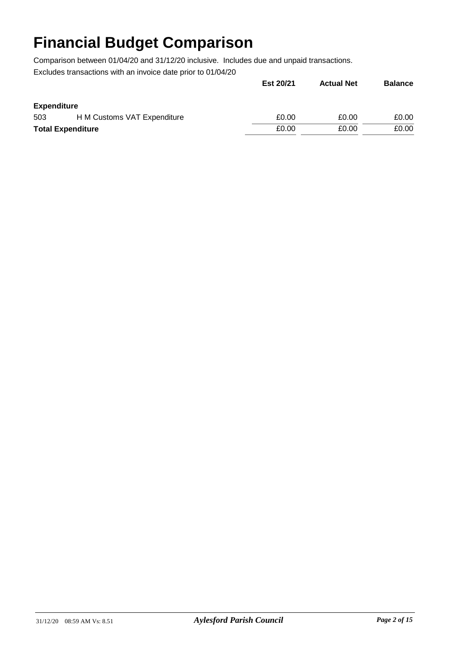|                          |                             | Est 20/21 | <b>Actual Net</b> | <b>Balance</b> |
|--------------------------|-----------------------------|-----------|-------------------|----------------|
| <b>Expenditure</b>       |                             |           |                   |                |
| 503                      | H M Customs VAT Expenditure | £0.00     | £0.00             | £0.00          |
| <b>Total Expenditure</b> |                             | £0.00     | £0.00             | £0.00          |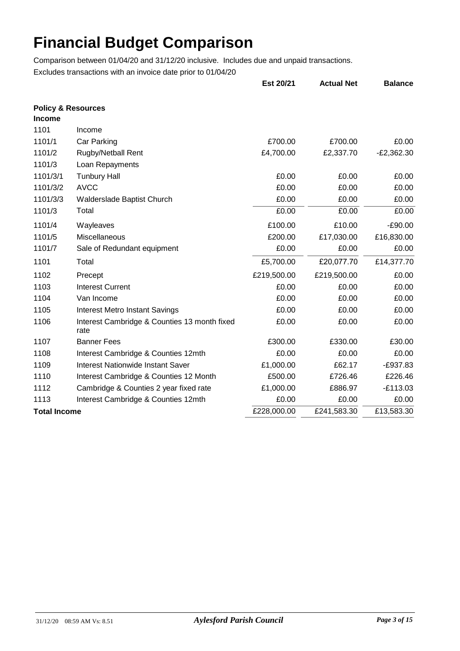|                                                |                                                      | Est 20/21   | <b>Actual Net</b> | <b>Balance</b> |
|------------------------------------------------|------------------------------------------------------|-------------|-------------------|----------------|
| <b>Policy &amp; Resources</b><br><b>Income</b> |                                                      |             |                   |                |
| 1101                                           | Income                                               |             |                   |                |
| 1101/1                                         | Car Parking                                          | £700.00     | £700.00           | £0.00          |
| 1101/2                                         | <b>Rugby/Netball Rent</b>                            | £4,700.00   | £2,337.70         | $-E2,362.30$   |
| 1101/3                                         | Loan Repayments                                      |             |                   |                |
| 1101/3/1                                       | <b>Tunbury Hall</b>                                  | £0.00       | £0.00             | £0.00          |
| 1101/3/2                                       | <b>AVCC</b>                                          | £0.00       | £0.00             | £0.00          |
| 1101/3/3                                       | Walderslade Baptist Church                           | £0.00       | £0.00             | £0.00          |
| 1101/3                                         | Total                                                | £0.00       | £0.00             | £0.00          |
| 1101/4                                         | Wayleaves                                            | £100.00     | £10.00            | $-£90.00$      |
| 1101/5                                         | Miscellaneous                                        | £200.00     | £17,030.00        | £16,830.00     |
| 1101/7                                         | Sale of Redundant equipment                          | £0.00       | £0.00             | £0.00          |
| 1101                                           | Total                                                | £5,700.00   | £20,077.70        | £14,377.70     |
| 1102                                           | Precept                                              | £219,500.00 | £219,500.00       | £0.00          |
| 1103                                           | <b>Interest Current</b>                              | £0.00       | £0.00             | £0.00          |
| 1104                                           | Van Income                                           | £0.00       | £0.00             | £0.00          |
| 1105                                           | <b>Interest Metro Instant Savings</b>                | £0.00       | £0.00             | £0.00          |
| 1106                                           | Interest Cambridge & Counties 13 month fixed<br>rate | £0.00       | £0.00             | £0.00          |
| 1107                                           | <b>Banner Fees</b>                                   | £300.00     | £330.00           | £30.00         |
| 1108                                           | Interest Cambridge & Counties 12mth                  | £0.00       | £0.00             | £0.00          |
| 1109                                           | <b>Interest Nationwide Instant Saver</b>             | £1,000.00   | £62.17            | $-E937.83$     |
| 1110                                           | Interest Cambridge & Counties 12 Month               | £500.00     | £726.46           | £226.46        |
| 1112                                           | Cambridge & Counties 2 year fixed rate               | £1,000.00   | £886.97           | $-E113.03$     |
| 1113                                           | Interest Cambridge & Counties 12mth                  | £0.00       | £0.00             | £0.00          |
| <b>Total Income</b>                            |                                                      | £228,000.00 | £241,583.30       | £13,583.30     |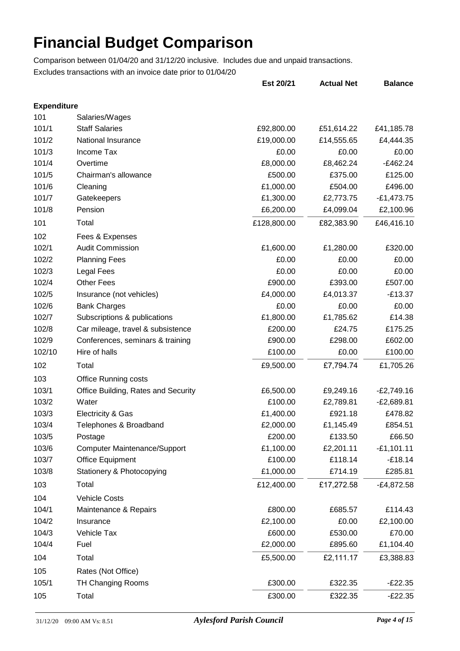|                    |                                     | Est 20/21   | <b>Actual Net</b> | <b>Balance</b> |
|--------------------|-------------------------------------|-------------|-------------------|----------------|
| <b>Expenditure</b> |                                     |             |                   |                |
| 101                | Salaries/Wages                      |             |                   |                |
| 101/1              | <b>Staff Salaries</b>               | £92,800.00  | £51,614.22        | £41,185.78     |
| 101/2              | National Insurance                  | £19,000.00  | £14,555.65        | £4,444.35      |
| 101/3              | Income Tax                          | £0.00       | £0.00             | £0.00          |
| 101/4              | Overtime                            | £8,000.00   | £8,462.24         | $-E462.24$     |
| 101/5              | Chairman's allowance                | £500.00     | £375.00           | £125.00        |
| 101/6              | Cleaning                            | £1,000.00   | £504.00           | £496.00        |
| 101/7              | Gatekeepers                         | £1,300.00   | £2,773.75         | $-£1,473.75$   |
| 101/8              | Pension                             | £6,200.00   | £4,099.04         | £2,100.96      |
| 101                | Total                               | £128,800.00 | £82,383.90        | £46,416.10     |
| 102                | Fees & Expenses                     |             |                   |                |
| 102/1              | <b>Audit Commission</b>             | £1,600.00   | £1,280.00         | £320.00        |
| 102/2              | <b>Planning Fees</b>                | £0.00       | £0.00             | £0.00          |
| 102/3              | <b>Legal Fees</b>                   | £0.00       | £0.00             | £0.00          |
| 102/4              | <b>Other Fees</b>                   | £900.00     | £393.00           | £507.00        |
| 102/5              | Insurance (not vehicles)            | £4,000.00   | £4,013.37         | $-£13.37$      |
| 102/6              | <b>Bank Charges</b>                 | £0.00       | £0.00             | £0.00          |
| 102/7              | Subscriptions & publications        | £1,800.00   | £1,785.62         | £14.38         |
| 102/8              | Car mileage, travel & subsistence   | £200.00     | £24.75            | £175.25        |
| 102/9              | Conferences, seminars & training    | £900.00     | £298.00           | £602.00        |
| 102/10             | Hire of halls                       | £100.00     | £0.00             | £100.00        |
| 102                | Total                               | £9,500.00   | £7,794.74         | £1,705.26      |
| 103                | <b>Office Running costs</b>         |             |                   |                |
| 103/1              | Office Building, Rates and Security | £6,500.00   | £9,249.16         | $-E2,749.16$   |
| 103/2              | Water                               | £100.00     | £2,789.81         | $-E2,689.81$   |
| 103/3              | Electricity & Gas                   | £1,400.00   | £921.18           | £478.82        |
| 103/4              | Telephones & Broadband              | £2,000.00   | £1,145.49         | £854.51        |
| 103/5              | Postage                             | £200.00     | £133.50           | £66.50         |
| 103/6              | <b>Computer Maintenance/Support</b> | £1,100.00   | £2,201.11         | $-£1,101.11$   |
| 103/7              | <b>Office Equipment</b>             | £100.00     | £118.14           | $-£18.14$      |
| 103/8              | Stationery & Photocopying           | £1,000.00   | £714.19           | £285.81        |
| 103                | Total                               | £12,400.00  | £17,272.58        | $-E4,872.58$   |
| 104                | <b>Vehicle Costs</b>                |             |                   |                |
| 104/1              | Maintenance & Repairs               | £800.00     | £685.57           | £114.43        |
| 104/2              | Insurance                           | £2,100.00   | £0.00             | £2,100.00      |
| 104/3              | Vehicle Tax                         | £600.00     | £530.00           | £70.00         |
| 104/4              | Fuel                                | £2,000.00   | £895.60           | £1,104.40      |
| 104                | Total                               | £5,500.00   | £2,111.17         | £3,388.83      |
| 105                | Rates (Not Office)                  |             |                   |                |
| 105/1              | <b>TH Changing Rooms</b>            | £300.00     | £322.35           | $-E22.35$      |
| 105                | Total                               | £300.00     | £322.35           | $-E22.35$      |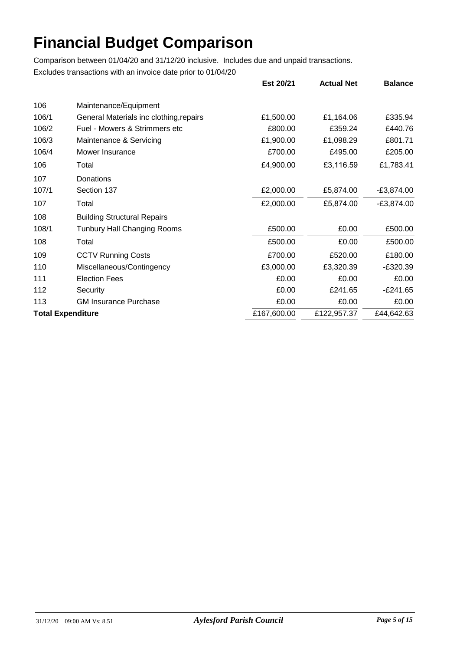|                          |                                         | Est 20/21   | <b>Actual Net</b> | <b>Balance</b> |
|--------------------------|-----------------------------------------|-------------|-------------------|----------------|
| 106                      | Maintenance/Equipment                   |             |                   |                |
| 106/1                    | General Materials inc clothing, repairs | £1,500.00   | £1,164.06         | £335.94        |
| 106/2                    | Fuel - Mowers & Strimmers etc           | £800.00     | £359.24           | £440.76        |
| 106/3                    | Maintenance & Servicing                 | £1,900.00   | £1,098.29         | £801.71        |
| 106/4                    | Mower Insurance                         | £700.00     | £495.00           | £205.00        |
| 106                      | Total                                   | £4,900.00   | £3,116.59         | £1,783.41      |
| 107                      | Donations                               |             |                   |                |
| 107/1                    | Section 137                             | £2,000.00   | £5,874.00         | $-E3,874.00$   |
| 107                      | Total                                   | £2,000.00   | £5,874.00         | $-E3,874.00$   |
| 108                      | <b>Building Structural Repairs</b>      |             |                   |                |
| 108/1                    | <b>Tunbury Hall Changing Rooms</b>      | £500.00     | £0.00             | £500.00        |
| 108                      | Total                                   | £500.00     | £0.00             | £500.00        |
| 109                      | <b>CCTV Running Costs</b>               | £700.00     | £520.00           | £180.00        |
| 110                      | Miscellaneous/Contingency               | £3,000.00   | £3,320.39         | $-E320.39$     |
| 111                      | <b>Election Fees</b>                    | £0.00       | £0.00             | £0.00          |
| 112                      | Security                                | £0.00       | £241.65           | $-E241.65$     |
| 113                      | <b>GM Insurance Purchase</b>            | £0.00       | £0.00             | £0.00          |
| <b>Total Expenditure</b> |                                         | £167,600.00 | £122,957.37       | £44,642.63     |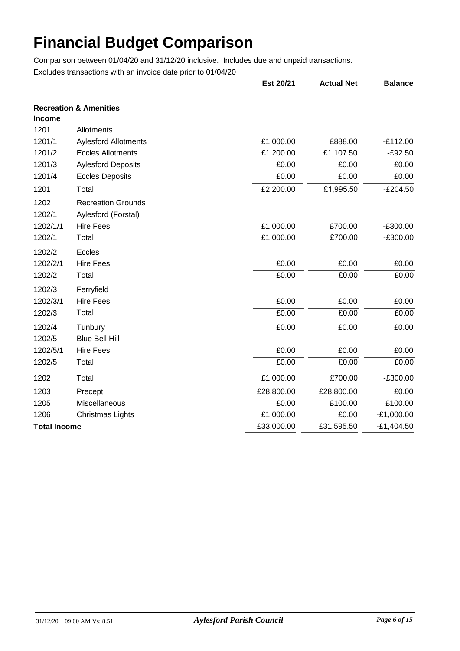|                     |                                                  | Est 20/21  | <b>Actual Net</b> | <b>Balance</b> |
|---------------------|--------------------------------------------------|------------|-------------------|----------------|
| <b>Income</b>       | <b>Recreation &amp; Amenities</b>                |            |                   |                |
| 1201                | Allotments                                       |            |                   |                |
| 1201/1              | <b>Aylesford Allotments</b>                      | £1,000.00  | £888.00           | $-E112.00$     |
| 1201/2              | <b>Eccles Allotments</b>                         | £1,200.00  | £1,107.50         | $-£92.50$      |
| 1201/3              | <b>Aylesford Deposits</b>                        | £0.00      | £0.00             | £0.00          |
| 1201/4              | <b>Eccles Deposits</b>                           | £0.00      | £0.00             | £0.00          |
| 1201                | Total                                            | £2,200.00  | £1,995.50         | $-E204.50$     |
| 1202<br>1202/1      | <b>Recreation Grounds</b><br>Aylesford (Forstal) |            |                   |                |
| 1202/1/1            | <b>Hire Fees</b>                                 | £1,000.00  | £700.00           | $-£300.00$     |
| 1202/1              | Total                                            | £1,000.00  | £700.00           | $-£300.00$     |
| 1202/2              | Eccles                                           |            |                   |                |
| 1202/2/1            | <b>Hire Fees</b>                                 | £0.00      | £0.00             | £0.00          |
| 1202/2              | Total                                            | £0.00      | £0.00             | £0.00          |
| 1202/3              | Ferryfield                                       |            |                   |                |
| 1202/3/1            | <b>Hire Fees</b>                                 | £0.00      | £0.00             | £0.00          |
| 1202/3              | Total                                            | £0.00      | £0.00             | £0.00          |
| 1202/4              | Tunbury                                          | £0.00      | £0.00             | £0.00          |
| 1202/5              | <b>Blue Bell Hill</b>                            |            |                   |                |
| 1202/5/1            | <b>Hire Fees</b>                                 | £0.00      | £0.00             | £0.00          |
| 1202/5              | Total                                            | £0.00      | £0.00             | £0.00          |
| 1202                | Total                                            | £1,000.00  | £700.00           | $-£300.00$     |
| 1203                | Precept                                          | £28,800.00 | £28,800.00        | £0.00          |
| 1205                | Miscellaneous                                    | £0.00      | £100.00           | £100.00        |
| 1206                | <b>Christmas Lights</b>                          | £1,000.00  | £0.00             | $-E1,000.00$   |
| <b>Total Income</b> |                                                  | £33,000.00 | £31,595.50        | $-£1,404.50$   |
|                     |                                                  |            |                   |                |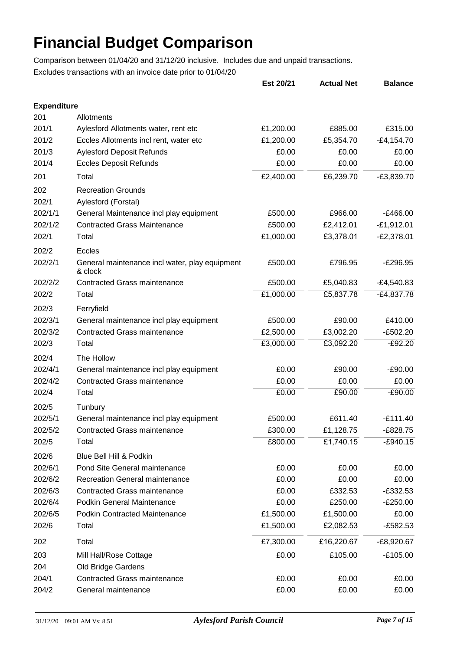|                    |                                                           | Est 20/21 | <b>Actual Net</b> | <b>Balance</b> |
|--------------------|-----------------------------------------------------------|-----------|-------------------|----------------|
| <b>Expenditure</b> |                                                           |           |                   |                |
| 201                | Allotments                                                |           |                   |                |
| 201/1              | Aylesford Allotments water, rent etc                      | £1,200.00 | £885.00           | £315.00        |
| 201/2              | Eccles Allotments incl rent, water etc                    | £1,200.00 | £5,354.70         | $-E4, 154.70$  |
| 201/3              | <b>Aylesford Deposit Refunds</b>                          | £0.00     | £0.00             | £0.00          |
| 201/4              | <b>Eccles Deposit Refunds</b>                             | £0.00     | £0.00             | £0.00          |
| 201                | Total                                                     | £2,400.00 | £6,239.70         | $-E3,839.70$   |
| 202                | <b>Recreation Grounds</b>                                 |           |                   |                |
| 202/1              | Aylesford (Forstal)                                       |           |                   |                |
| 202/1/1            | General Maintenance incl play equipment                   | £500.00   | £966.00           | $-E466.00$     |
| 202/1/2            | <b>Contracted Grass Maintenance</b>                       | £500.00   | £2,412.01         | $-E1,912.01$   |
| 202/1              | Total                                                     | £1,000.00 | £3,378.01         | $-E2,378.01$   |
| 202/2              | Eccles                                                    |           |                   |                |
| 202/2/1            | General maintenance incl water, play equipment<br>& clock | £500.00   | £796.95           | $-E296.95$     |
| 202/2/2            | <b>Contracted Grass maintenance</b>                       | £500.00   | £5,040.83         | -£4,540.83     |
| 202/2              | Total                                                     | £1,000.00 | £5,837.78         | $-E4,837.78$   |
| 202/3              | Ferryfield                                                |           |                   |                |
| 202/3/1            | General maintenance incl play equipment                   | £500.00   | £90.00            | £410.00        |
| 202/3/2            | <b>Contracted Grass maintenance</b>                       | £2,500.00 | £3,002.20         | $-E502.20$     |
| 202/3              | Total                                                     | £3,000.00 | £3,092.20         | $-E92.20$      |
| 202/4              | The Hollow                                                |           |                   |                |
| 202/4/1            | General maintenance incl play equipment                   | £0.00     | £90.00            | $-£90.00$      |
| 202/4/2            | <b>Contracted Grass maintenance</b>                       | £0.00     | £0.00             | £0.00          |
| 202/4              | Total                                                     | £0.00     | £90.00            | $-£90.00$      |
| 202/5              | Tunbury                                                   |           |                   |                |
| 202/5/1            | General maintenance incl play equipment                   | £500.00   | £611.40           | $-E111.40$     |
| 202/5/2            | <b>Contracted Grass maintenance</b>                       | £300.00   | £1,128.75         | $-E828.75$     |
| 202/5              | Total                                                     | £800.00   | £1,740.15         | $-E940.15$     |
| 202/6              | Blue Bell Hill & Podkin                                   |           |                   |                |
| 202/6/1            | <b>Pond Site General maintenance</b>                      | £0.00     | £0.00             | £0.00          |
| 202/6/2            | <b>Recreation General maintenance</b>                     | £0.00     | £0.00             | £0.00          |
| 202/6/3            | <b>Contracted Grass maintenance</b>                       | £0.00     | £332.53           | $-E332.53$     |
| 202/6/4            | Podkin General Maintenance                                | £0.00     | £250.00           | $-E250.00$     |
| 202/6/5            | <b>Podkin Contracted Maintenance</b>                      | £1,500.00 | £1,500.00         | £0.00          |
| 202/6              | Total                                                     | £1,500.00 | £2,082.53         | -£582.53       |
|                    | Total                                                     |           |                   |                |
| 202                |                                                           | £7,300.00 | £16,220.67        | $-E8,920.67$   |
| 203                | Mill Hall/Rose Cottage                                    | £0.00     | £105.00           | $-£105.00$     |
| 204                | Old Bridge Gardens                                        |           |                   |                |
| 204/1              | <b>Contracted Grass maintenance</b>                       | £0.00     | £0.00             | £0.00          |
| 204/2              | General maintenance                                       | £0.00     | £0.00             | £0.00          |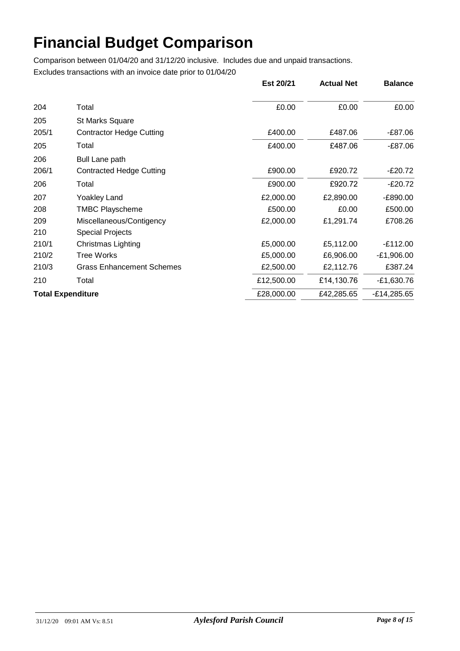|       |                                  | Est 20/21  | <b>Actual Net</b> | <b>Balance</b> |
|-------|----------------------------------|------------|-------------------|----------------|
| 204   | Total                            | £0.00      | £0.00             | £0.00          |
| 205   | <b>St Marks Square</b>           |            |                   |                |
| 205/1 | <b>Contractor Hedge Cutting</b>  | £400.00    | £487.06           | -£87.06        |
| 205   | Total                            | £400.00    | £487.06           | $-£87.06$      |
| 206   | <b>Bull Lane path</b>            |            |                   |                |
| 206/1 | <b>Contracted Hedge Cutting</b>  | £900.00    | £920.72           | $-E20.72$      |
| 206   | Total                            | £900.00    | £920.72           | $-E20.72$      |
| 207   | <b>Yoakley Land</b>              | £2,000.00  | £2,890.00         | -£890.00       |
| 208   | <b>TMBC Playscheme</b>           | £500.00    | £0.00             | £500.00        |
| 209   | Miscellaneous/Contigency         | £2,000.00  | £1,291.74         | £708.26        |
| 210   | <b>Special Projects</b>          |            |                   |                |
| 210/1 | Christmas Lighting               | £5,000.00  | £5,112.00         | $-E112.00$     |
| 210/2 | <b>Tree Works</b>                | £5,000.00  | £6,906.00         | $-E1,906.00$   |
| 210/3 | <b>Grass Enhancement Schemes</b> | £2,500.00  | £2,112.76         | £387.24        |
| 210   | Total                            | £12,500.00 | £14,130.76        | $-E1,630.76$   |
|       | <b>Total Expenditure</b>         | £28,000.00 | £42,285.65        | $-E14,285.65$  |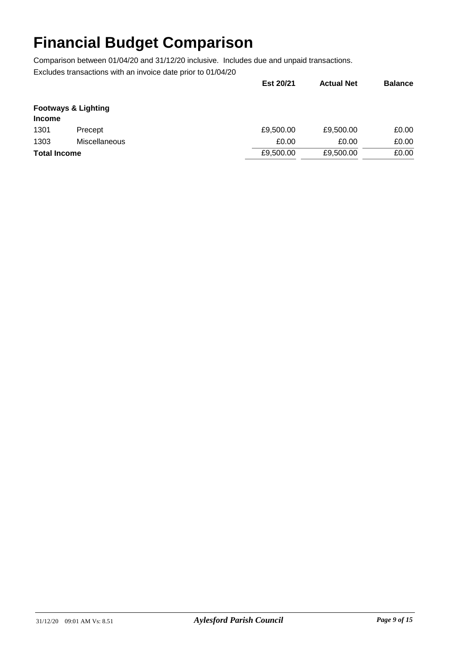|                     |                                | Est 20/21 | <b>Actual Net</b> | <b>Balance</b> |
|---------------------|--------------------------------|-----------|-------------------|----------------|
| <b>Income</b>       | <b>Footways &amp; Lighting</b> |           |                   |                |
| 1301                | Precept                        | £9,500.00 | £9,500.00         | £0.00          |
| 1303                | <b>Miscellaneous</b>           | £0.00     | £0.00             | £0.00          |
| <b>Total Income</b> |                                | £9,500.00 | £9,500.00         | £0.00          |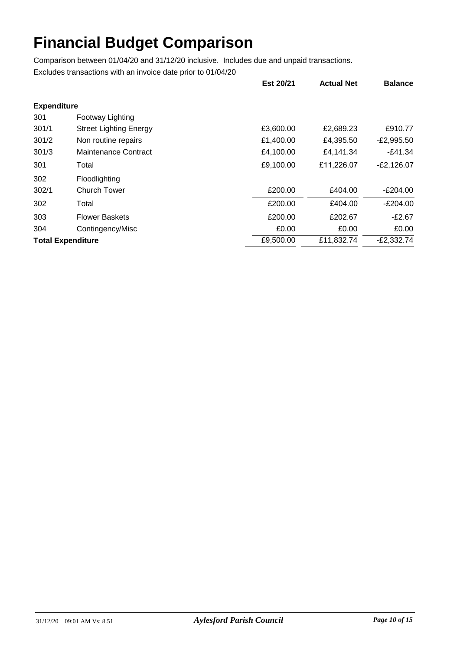|                          |                               | Est 20/21 | <b>Actual Net</b> | <b>Balance</b> |
|--------------------------|-------------------------------|-----------|-------------------|----------------|
| <b>Expenditure</b>       |                               |           |                   |                |
| 301                      | Footway Lighting              |           |                   |                |
| 301/1                    | <b>Street Lighting Energy</b> | £3,600.00 | £2,689.23         | £910.77        |
| 301/2                    | Non routine repairs           | £1,400.00 | £4,395.50         | $-E2,995.50$   |
| 301/3                    | Maintenance Contract          | £4,100.00 | £4,141.34         | $-E41.34$      |
| 301                      | Total                         | £9,100.00 | £11,226.07        | $-E2,126.07$   |
| 302                      | Floodlighting                 |           |                   |                |
| 302/1                    | Church Tower                  | £200.00   | £404.00           | $-E204.00$     |
| 302                      | Total                         | £200.00   | £404.00           | $-E204.00$     |
| 303                      | <b>Flower Baskets</b>         | £200.00   | £202.67           | $-E2.67$       |
| 304                      | Contingency/Misc              | £0.00     | £0.00             | £0.00          |
| <b>Total Expenditure</b> |                               | £9,500.00 | £11,832.74        | $-E2,332.74$   |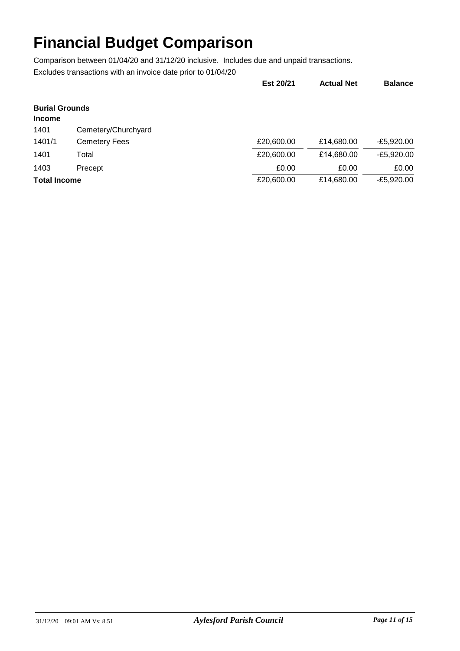|                                        |                      | Est 20/21  | <b>Actual Net</b> | <b>Balance</b> |
|----------------------------------------|----------------------|------------|-------------------|----------------|
| <b>Burial Grounds</b><br><b>Income</b> |                      |            |                   |                |
| 1401                                   | Cemetery/Churchyard  |            |                   |                |
| 1401/1                                 | <b>Cemetery Fees</b> | £20,600.00 | £14,680.00        | $-E5,920.00$   |
| 1401                                   | Total                | £20,600.00 | £14,680.00        | -£5,920.00     |
| 1403                                   | Precept              | £0.00      | £0.00             | £0.00          |
| <b>Total Income</b>                    |                      | £20,600.00 | £14,680.00        | -£5.920.00     |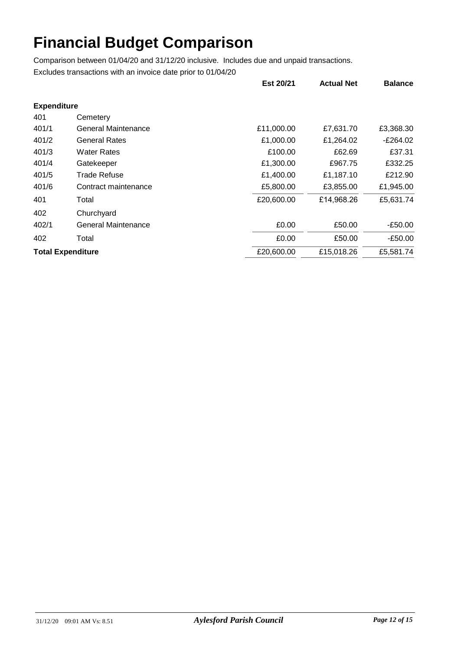|                    |                            | Est 20/21  | <b>Actual Net</b> | <b>Balance</b> |
|--------------------|----------------------------|------------|-------------------|----------------|
| <b>Expenditure</b> |                            |            |                   |                |
| 401                | Cemetery                   |            |                   |                |
| 401/1              | <b>General Maintenance</b> | £11,000.00 | £7,631.70         | £3,368.30      |
| 401/2              | <b>General Rates</b>       | £1,000.00  | £1,264.02         | E264.02        |
| 401/3              | <b>Water Rates</b>         | £100.00    | £62.69            | £37.31         |
| 401/4              | Gatekeeper                 | £1,300.00  | £967.75           | £332.25        |
| 401/5              | Trade Refuse               | £1,400.00  | £1,187.10         | £212.90        |
| 401/6              | Contract maintenance       | £5,800.00  | £3,855.00         | £1,945.00      |
| 401                | Total                      | £20,600.00 | £14,968.26        | £5,631.74      |
| 402                | Churchyard                 |            |                   |                |
| 402/1              | <b>General Maintenance</b> | £0.00      | £50.00            | -£50.00        |
| 402                | Total                      | £0.00      | £50.00            | -£50.00        |
|                    | <b>Total Expenditure</b>   | £20,600.00 | £15,018.26        | £5,581.74      |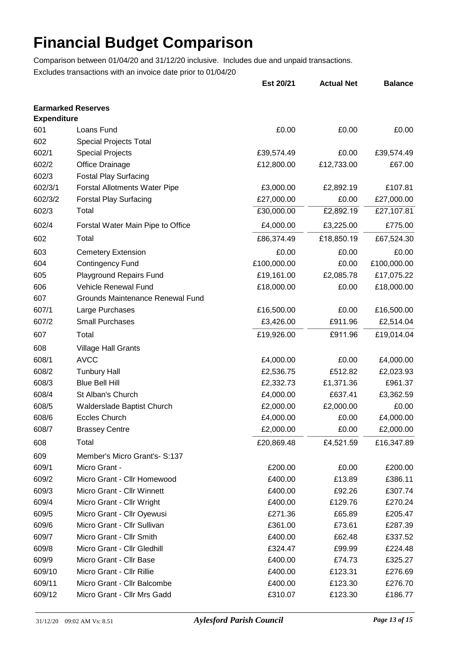|                                                 |                                      | Est 20/21   | <b>Actual Net</b> | <b>Balance</b> |
|-------------------------------------------------|--------------------------------------|-------------|-------------------|----------------|
| <b>Earmarked Reserves</b><br><b>Expenditure</b> |                                      |             |                   |                |
| 601                                             | Loans Fund                           | £0.00       | £0.00             | £0.00          |
| 602                                             | <b>Special Projects Total</b>        |             |                   |                |
| 602/1                                           | <b>Special Projects</b>              | £39,574.49  | £0.00             | £39,574.49     |
| 602/2                                           | Office Drainage                      | £12,800.00  | £12,733.00        | £67.00         |
| 602/3                                           | <b>Fostal Play Surfacing</b>         |             |                   |                |
| 602/3/1                                         | <b>Forstal Allotments Water Pipe</b> | £3,000.00   | £2,892.19         | £107.81        |
| 602/3/2                                         | <b>Forstal Play Surfacing</b>        | £27,000.00  | £0.00             | £27,000.00     |
| 602/3                                           | Total                                | £30,000.00  | £2,892.19         | £27,107.81     |
| 602/4                                           | Forstal Water Main Pipe to Office    | £4,000.00   | £3,225.00         | £775.00        |
| 602                                             | Total                                | £86,374.49  | £18,850.19        | £67,524.30     |
| 603                                             | <b>Cemetery Extension</b>            | £0.00       | £0.00             | £0.00          |
| 604                                             | <b>Contingency Fund</b>              | £100,000.00 | £0.00             | £100,000.00    |
| 605                                             | <b>Playground Repairs Fund</b>       | £19,161.00  | £2,085.78         | £17,075.22     |
| 606                                             | <b>Vehicle Renewal Fund</b>          | £18,000.00  | £0.00             | £18,000.00     |
| 607                                             | Grounds Maintenance Renewal Fund     |             |                   |                |
| 607/1                                           | Large Purchases                      | £16,500.00  | £0.00             | £16,500.00     |
| 607/2                                           | <b>Small Purchases</b>               | £3,426.00   | £911.96           | £2,514.04      |
| 607                                             | Total                                | £19,926.00  | £911.96           | £19,014.04     |
| 608                                             | <b>Village Hall Grants</b>           |             |                   |                |
| 608/1                                           | <b>AVCC</b>                          | £4,000.00   | £0.00             | £4,000.00      |
| 608/2                                           | <b>Tunbury Hall</b>                  | £2,536.75   | £512.82           | £2,023.93      |
| 608/3                                           | <b>Blue Bell Hill</b>                | £2,332.73   | £1,371.36         | £961.37        |
| 608/4                                           | St Alban's Church                    | £4,000.00   | £637.41           | £3,362.59      |
| 608/5                                           | Walderslade Baptist Church           | £2,000.00   | £2,000.00         | £0.00          |
| 608/6                                           | <b>Eccles Church</b>                 | £4,000.00   | £0.00             | £4,000.00      |
| 608/7                                           | <b>Brassey Centre</b>                | £2,000.00   | £0.00             | £2,000.00      |
| 608                                             | Total                                | £20,869.48  | £4,521.59         | £16,347.89     |
| 609                                             | Member's Micro Grant's- S:137        |             |                   |                |
| 609/1                                           | Micro Grant -                        | £200.00     | £0.00             | £200.00        |
| 609/2                                           | Micro Grant - Cllr Homewood          | £400.00     | £13.89            | £386.11        |
| 609/3                                           | Micro Grant - Cllr Winnett           | £400.00     | £92.26            | £307.74        |
| 609/4                                           | Micro Grant - Cllr Wright            | £400.00     | £129.76           | £270.24        |
| 609/5                                           | Micro Grant - Cllr Oyewusi           | £271.36     | £65.89            | £205.47        |
| 609/6                                           | Micro Grant - Cllr Sullivan          | £361.00     | £73.61            | £287.39        |
| 609/7                                           | Micro Grant - Cllr Smith             | £400.00     | £62.48            | £337.52        |
| 609/8                                           | Micro Grant - Cllr Gledhill          | £324.47     | £99.99            | £224.48        |
| 609/9                                           | Micro Grant - Cllr Base              | £400.00     | £74.73            | £325.27        |
| 609/10                                          | Micro Grant - Cllr Rillie            | £400.00     | £123.31           | £276.69        |
| 609/11                                          | Micro Grant - Cllr Balcombe          | £400.00     | £123.30           | £276.70        |
| 609/12                                          | Micro Grant - Cllr Mrs Gadd          | £310.07     | £123.30           | £186.77        |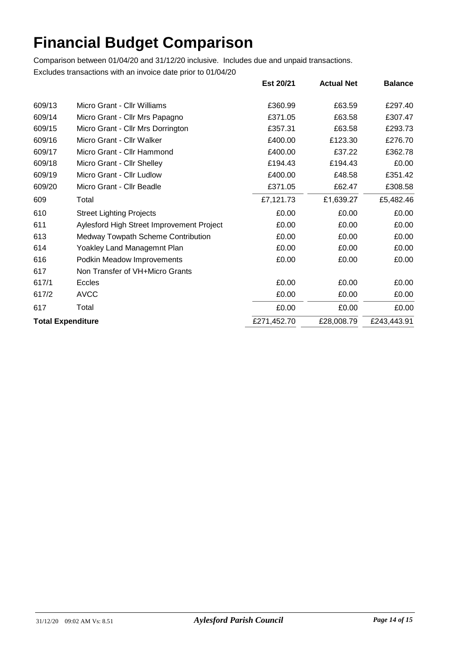|                          |                                           | Est 20/21   | <b>Actual Net</b> | <b>Balance</b> |
|--------------------------|-------------------------------------------|-------------|-------------------|----------------|
| 609/13                   | Micro Grant - Cllr Williams               | £360.99     | £63.59            | £297.40        |
| 609/14                   | Micro Grant - Cllr Mrs Papagno            | £371.05     | £63.58            | £307.47        |
| 609/15                   | Micro Grant - Cllr Mrs Dorrington         | £357.31     | £63.58            | £293.73        |
| 609/16                   | Micro Grant - Cllr Walker                 | £400.00     | £123.30           | £276.70        |
| 609/17                   | Micro Grant - Cllr Hammond                | £400.00     | £37.22            | £362.78        |
| 609/18                   | Micro Grant - Cllr Shelley                | £194.43     | £194.43           | £0.00          |
| 609/19                   | Micro Grant - Cllr Ludlow                 | £400.00     | £48.58            | £351.42        |
| 609/20                   | Micro Grant - Cllr Beadle                 | £371.05     | £62.47            | £308.58        |
| 609                      | Total                                     | £7,121.73   | £1,639.27         | £5,482.46      |
| 610                      | <b>Street Lighting Projects</b>           | £0.00       | £0.00             | £0.00          |
| 611                      | Aylesford High Street Improvement Project | £0.00       | £0.00             | £0.00          |
| 613                      | Medway Towpath Scheme Contribution        | £0.00       | £0.00             | £0.00          |
| 614                      | Yoakley Land Managemnt Plan               | £0.00       | £0.00             | £0.00          |
| 616                      | Podkin Meadow Improvements                | £0.00       | £0.00             | £0.00          |
| 617                      | Non Transfer of VH+Micro Grants           |             |                   |                |
| 617/1                    | <b>Eccles</b>                             | £0.00       | £0.00             | £0.00          |
| 617/2                    | <b>AVCC</b>                               | £0.00       | £0.00             | £0.00          |
| 617                      | Total                                     | £0.00       | £0.00             | £0.00          |
| <b>Total Expenditure</b> |                                           | £271,452.70 | £28,008.79        | £243,443.91    |